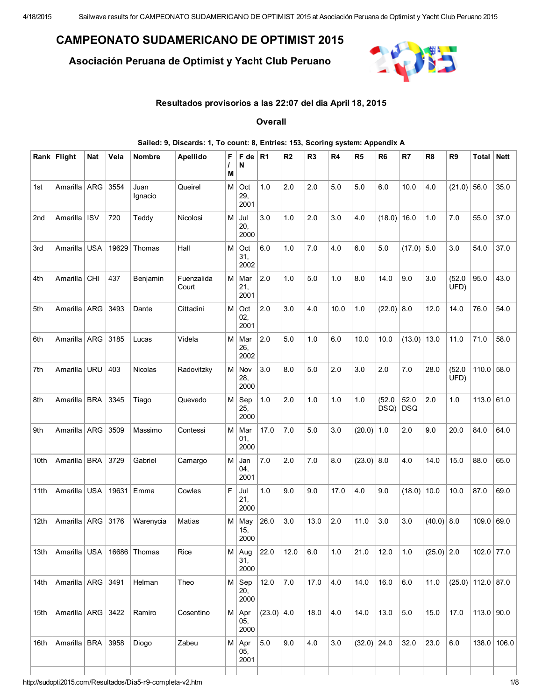## CAMPEONATO SUDAMERICANO DE OPTIMIST 2015

Asociación Peruana de Optimist y Yacht Club Peruano



## Resultados provisorios a las 22:07 del dia April 18, 2015

**Overall** 

|      |                       |            |       |                 | Sailed: 9, Discards: 1, To count: 8, Entries: 153, Scoring system: Appendix A |           |                              |                |                |                |       |                |                |                    |                |                |                     |               |
|------|-----------------------|------------|-------|-----------------|-------------------------------------------------------------------------------|-----------|------------------------------|----------------|----------------|----------------|-------|----------------|----------------|--------------------|----------------|----------------|---------------------|---------------|
|      | Rank Flight           | <b>Nat</b> | Vela  | <b>Nombre</b>   | Apellido                                                                      | F<br>M    | $F$ de $ $<br>N              | R <sub>1</sub> | R <sub>2</sub> | R <sub>3</sub> | R4    | R <sub>5</sub> | R <sub>6</sub> | R7                 | R <sub>8</sub> | R <sub>9</sub> | Total               | <b>Nett</b>   |
| 1st  | Amarilla   ARG        |            | 3554  | Juan<br>Ignacio | Queirel                                                                       | $M \mid$  | Oct<br>29,<br>2001           | 1.0            | 2.0            | 2.0            | 5.0   | 5.0            | 6.0            | 10.0               | 4.0            | $(21.0)$ 56.0  |                     | 35.0          |
| 2nd  | Amarilla              | $ $ ISV    | 720   | Teddy           | Nicolosi                                                                      |           | $M$ Jul<br>20,<br>2000       | 3.0            | 1.0            | 2.0            | 3.0   | 4.0            | (18.0)         | 16.0               | 1.0            | 7.0            | 55.0                | 37.0          |
| 3rd  | Amarilla              | <b>USA</b> | 19629 | Thomas          | Hall                                                                          | $M \mid$  | Oct<br>31,<br>2002           | 6.0            | 1.0            | 7.0            | 4.0   | 6.0            | 5.0            | $(17.0)$ 5.0       |                | 3.0            | 54.0                | 37.0          |
| 4th  | Amarilla   CHI        |            | 437   | Benjamin        | Fuenzalida<br>Court                                                           |           | M   Mar<br>21,<br>2001       | 2.0            | 1.0            | 5.0            | 1.0   | 8.0            | 14.0           | 9.0                | 3.0            | (52.0)<br>UFD) | 95.0                | 43.0          |
| 5th  | Amarilla   ARG        |            | 3493  | Dante           | Cittadini                                                                     | $M \mid$  | Oct<br>02,<br>2001           | 2.0            | 3.0            | 4.0            | 10.0  | 1.0            | $(22.0)$ 8.0   |                    | 12.0           | 14.0           | 76.0                | 54.0          |
| 6th  | Amarilla   ARG   3185 |            |       | Lucas           | Videla                                                                        |           | M   Mar<br>26,<br>2002       | 2.0            | 5.0            | 1.0            | 6.0   | 10.0           | 10.0           | $(13.0)$ 13.0      |                | 11.0           | 71.0                | 58.0          |
| 7th  | Amarilla   URU        |            | 403   | Nicolas         | Radovitzky                                                                    |           | $M \vert Nov$<br>28,<br>2000 | 3.0            | 8.0            | 5.0            | 2.0   | 3.0            | 2.0            | 7.0                | 28.0           | (52.0)<br>UFD) | $110.0$ 58.0        |               |
| 8th  | Amarilla   BRA        |            | 3345  | Tiago           | Quevedo                                                                       |           | $M  $ Sep<br>25,<br>2000     | 1.0            | 2.0            | 1.0            | 1.0   | 1.0            | (52.0)<br>DSQ) | 52.0<br><b>DSQ</b> | 2.0            | 1.0            | 113.0 61.0          |               |
| 9th  | Amarilla   ARG        |            | 3509  | Massimo         | Contessi                                                                      |           | $M$ Mar<br>01,<br>2000       | 17.0           | 7.0            | 5.0            | 3.0   | $(20.0)$ 1.0   |                | 2.0                | 9.0            | 20.0           | 84.0                | 64.0          |
| 10th | Amarilla   BRA        |            | 3729  | Gabriel         | Camargo                                                                       | $M \vert$ | Jan<br>04,<br>2001           | 7.0            | 2.0            | 7.0            | 8.0   | $(23.0)$ 8.0   |                | 4.0                | 14.0           | 15.0           | 88.0                | 65.0          |
| 11th | Amarilla USA          |            | 19631 | Emma            | Cowles                                                                        | F         | Jul<br>21,<br>2000           | 1.0            | 9.0            | 9.0            | 17.0  | 4.0            | 9.0            | $(18.0)$ 10.0      |                | 10.0           | 87.0                | 69.0          |
| 12th | Amarilla              | ARG        | 3176  | Warenycia       | Matias                                                                        |           | $M \mid$ May<br>15,<br>2000  | 26.0           | 3.0            | 13.0           | 2.0   | 11.0           | 3.0            | 3.0                | (40.0)         | 8.0            | $109.0$ 69.0        |               |
| 13th | Amarilla   USA        |            |       | $16686$ Thomas  | Rice                                                                          |           | $M$ Aug<br>31,<br>2000       | 22.0           | 12.0           | $6.0\,$        | $1.0$ | 21.0           | 12.0           | 1.0                | $(25.0)$ 2.0   |                | $102.0$ 77.0        |               |
| 14th | Amarilla   ARG   3491 |            |       | Helman          | Theo                                                                          |           | $M  $ Sep<br>20,<br>2000     | 12.0           | 7.0            | 17.0           | 4.0   | 14.0           | 16.0           | $6.0\,$            | 11.0           |                | $(25.0)$ 112.0 87.0 |               |
| 15th | Amarilla   ARG   3422 |            |       | Ramiro          | Cosentino                                                                     |           | $M  $ Apr<br>05,<br>2000     | $(23.0)$ 4.0   |                | 18.0           | 4.0   | 14.0           | 13.0           | 5.0                | 15.0           | 17.0           | $113.0$ 90.0        |               |
| 16th | Amarilla   BRA   3958 |            |       | Diogo           | Zabeu                                                                         |           | $M  $ Apr<br>05,<br>2001     | 5.0            | 9.0            | 4.0            | 3.0   | $(32.0)$ 24.0  |                | 32.0               | 23.0           | 6.0            |                     | $138.0$ 106.0 |

## http://sudopti2015.com/Resultados/Dia5-r9-completa-v2.htm 1/8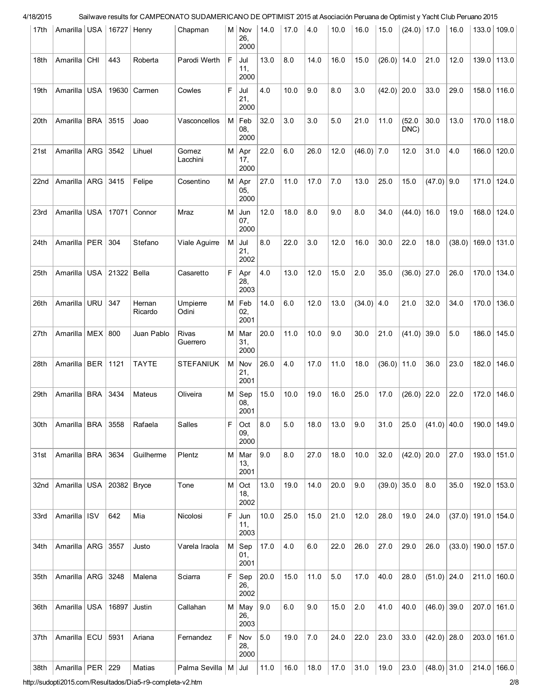| 17th             | Amarilla   USA   16727   Henry  |                  |                     |                   | Chapman                 |          | $M$ Nov  <br>26,<br>2000     | 14.0    | 17.0 | 4.0  | 10.0 | 16.0         | 15.0          | $(24.0)$ 17.0  |               | 16.0 |                      | $133.0$   109.0 |
|------------------|---------------------------------|------------------|---------------------|-------------------|-------------------------|----------|------------------------------|---------|------|------|------|--------------|---------------|----------------|---------------|------|----------------------|-----------------|
| 18th             | Amarilla                        | <b>CHI</b>       | 443                 | Roberta           | Parodi Werth            | F        | Jul<br>11,<br>2000           | 13.0    | 8.0  | 14.0 | 16.0 | 15.0         | (26.0)        | 14.0           | 21.0          | 12.0 |                      | 139.0 113.0     |
| 19th             | Amarilla                        | <b>USA</b>       | 19630               | Carmen            | Cowles                  | F        | Jul<br>21,<br>2000           | 4.0     | 10.0 | 9.0  | 8.0  | 3.0          | $(42.0)$ 20.0 |                | 33.0          | 29.0 |                      | $158.0$   116.0 |
| 20th             | Amarilla                        | <b>BRA</b>       | 3515                | Joao              | Vasconcellos            | $M \mid$ | Feb<br>08,<br>2000           | 32.0    | 3.0  | 3.0  | 5.0  | 21.0         | 11.0          | (52.0)<br>DNC) | 30.0          | 13.0 |                      | 170.0 118.0     |
| 21st             | Amarilla                        | ARG              | 3542                | Lihuel            | Gomez<br>Lacchini       |          | $M  $ Apr<br>17,<br>2000     | 22.0    | 6.0  | 26.0 | 12.0 | $(46.0)$ 7.0 |               | 12.0           | 31.0          | 4.0  |                      | 166.0 120.0     |
| 22 <sub>nd</sub> | Amarilla                        | ARG              | 3415                | Felipe            | Cosentino               | M        | Apr<br>05,<br>2000           | 27.0    | 11.0 | 17.0 | 7.0  | 13.0         | 25.0          | 15.0           | $(47.0)$ 9.0  |      | 171.0                | 124.0           |
| 23rd             | Amarilla                        | <b>USA</b>       | 17071               | Connor            | Mraz                    | M l      | Jun<br>07,<br>2000           | 12.0    | 18.0 | 8.0  | 9.0  | 8.0          | 34.0          | (44.0)         | 16.0          | 19.0 | 168.0                | 124.0           |
| 24th             | Amarilla   PER                  |                  | 304                 | Stefano           | Viale Aguirre           | $M \mid$ | Jul<br>21,<br>2002           | 8.0     | 22.0 | 3.0  | 12.0 | 16.0         | 30.0          | 22.0           | 18.0          |      | $(38.0)$ 169.0 131.0 |                 |
| 25th             | Amarilla                        |                  | USA   21322   Bella |                   | Casaretto               | F        | Apr<br>28,<br>2003           | 4.0     | 13.0 | 12.0 | 15.0 | 2.0          | 35.0          | $(36.0)$ 27.0  |               | 26.0 |                      | 170.0 134.0     |
| 26th             | Amarilla                        | <b>URU</b>       | 347                 | Hernan<br>Ricardo | Umpierre<br>Odini       |          | $M \vert$ Feb<br>02,<br>2001 | 14.0    | 6.0  | 12.0 | 13.0 | $(34.0)$ 4.0 |               | 21.0           | 32.0          | 34.0 | 170.0                | 136.0           |
| 27th             | Amarilla                        | MEX <sup>1</sup> | 800                 | Juan Pablo        | Rivas<br>Guerrero       |          | $M \mid$ Mar<br>31,<br>2000  | 20.0    | 11.0 | 10.0 | 9.0  | 30.0         | 21.0          | (41.0)         | 39.0          | 5.0  |                      | 186.0 145.0     |
| 28th             | Amarilla   BER                  |                  | 1121                | <b>TAYTE</b>      | <b>STEFANIUK</b>        |          | $M \vert Nov$<br>21,<br>2001 | 26.0    | 4.0  | 17.0 | 11.0 | 18.0         | $(36.0)$ 11.0 |                | 36.0          | 23.0 |                      | 182.0 146.0     |
| 29th             | Amarilla                        | <b>BRA</b>       | 3434                | Mateus            | Oliveira                |          | $M  $ Sep<br>08,<br>2001     | 15.0    | 10.0 | 19.0 | 16.0 | 25.0         | 17.0          | (26.0)         | 22.0          | 22.0 | 172.0                | 146.0           |
| 30th             | Amarilla   BRA                  |                  | 3558                | Rafaela           | Salles                  | F        | Oct<br>09,<br>2000           | 8.0     | 5.0  | 18.0 | 13.0 | 9.0          | 31.0          | 25.0           | $(41.0)$ 40.0 |      |                      | $190.0$ 149.0   |
| 31st             | Amarilla   BRA                  |                  | 3634                | Guilherme         | Plentz                  |          | $M \,  $ Mar<br>13,<br>2001  | 9.0     | 8.0  | 27.0 | 18.0 | 10.0         | 32.0          | $(42.0)$ 20.0  |               | 27.0 |                      | $193.0$ 151.0   |
| 32nd             | Amarilla   USA   20382   Bryce  |                  |                     |                   | Tone                    |          | $M$ Oct<br>18,<br>2002       | 13.0    | 19.0 | 14.0 | 20.0 | 9.0          | $(39.0)$ 35.0 |                | 8.0           | 35.0 |                      | $192.0$ 153.0   |
| 33rd             | Amarilla   ISV                  |                  | 642                 | Mia               | Nicolosi                | F.       | Jun<br>11,<br>2003           | 10.0    | 25.0 | 15.0 | 21.0 | 12.0         | 28.0          | 19.0           | 24.0          |      | $(37.0)$ 191.0 154.0 |                 |
| 34th             | Amarilla   ARG   3557           |                  |                     | Justo             | Varela Iraola           |          | $M  $ Sep<br>01,<br>2001     | 17.0    | 4.0  | 6.0  | 22.0 | 26.0         | 27.0          | 29.0           | 26.0          |      | $(33.0)$ 190.0 157.0 |                 |
| 35th             | Amarilla   ARG   3248           |                  |                     | Malena            | Sciarra                 |          | $F  $ Sep<br>26,<br>2002     | 20.0    | 15.0 | 11.0 | 5.0  | 17.0         | 40.0          | 28.0           | $(51.0)$ 24.0 |      |                      | $211.0$ 160.0   |
| 36th             | Amarilla   USA   16897   Justin |                  |                     |                   | Callahan                |          | $M$ May<br>26,<br>2003       | 9.0     | 6.0  | 9.0  | 15.0 | 2.0          | 41.0          | 40.0           | $(46.0)$ 39.0 |      |                      | $207.0$ 161.0   |
| 37th             | Amarilla   ECU                  |                  | 5931                | Ariana            | Fernandez               |          | F Nov<br>28,<br>2000         | $5.0\,$ | 19.0 | 7.0  | 24.0 | 22.0         | 23.0          | 33.0           | $(42.0)$ 28.0 |      |                      | $203.0$ 161.0   |
| 38th             | Amarilla   PER   229            |                  |                     | Matias            | Palma Sevilla   M   Jul |          |                              | 11.0    | 16.0 | 18.0 | 17.0 | 31.0         | 19.0          | 23.0           | $(48.0)$ 31.0 |      |                      | $214.0$ 166.0   |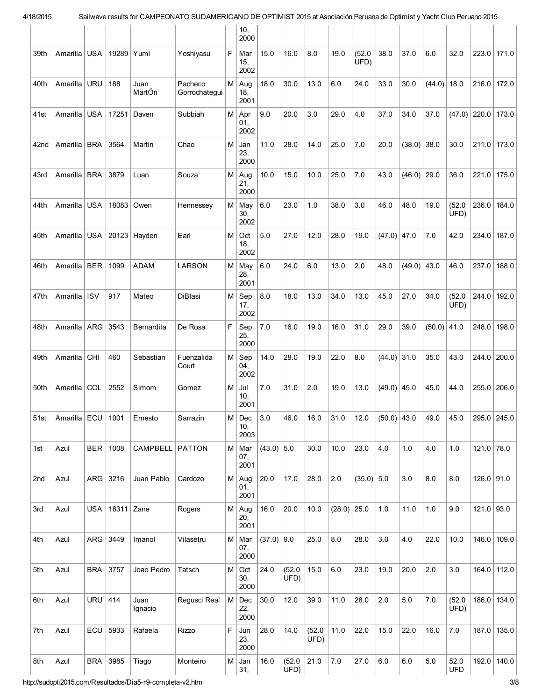|      |                |            |            |                 |                          |             | 10,<br>2000                 |              |                |                |               |                |               |               |               |                    |              |             |
|------|----------------|------------|------------|-----------------|--------------------------|-------------|-----------------------------|--------------|----------------|----------------|---------------|----------------|---------------|---------------|---------------|--------------------|--------------|-------------|
| 39th | Amarilla       | <b>USA</b> | 19289      | Yumi            | Yoshiyasu                | F           | Mar<br>15,<br>2002          | 15.0         | 16.0           | 8.0            | 19.0          | (52.0)<br>UFD) | 38.0          | 37.0          | 6.0           | 32.0               | 223.0        | 171.0       |
| 40th | Amarilla       | <b>URU</b> | 188        | Juan<br>MartÕn  | Pacheco<br>Gorrochategui |             | $M$ Aug<br>18,<br>2001      | 18.0         | 30.0           | 13.0           | 6.0           | 24.0           | 33.0          | 30.0          | (44.0)        | 18.0               | 216.0        | 172.0       |
| 41st | Amarilla       | <b>USA</b> | 17251      | Daven           | Subbiah                  |             | $M  $ Apr<br>01,<br>2002    | 9.0          | 20.0           | 3.0            | 29.0          | 4.0            | 37.0          | 34.0          | 37.0          | (47.0)             | 220.0        | 173.0       |
| 42nd | Amarilla       | <b>BRA</b> | 3564       | Martin          | Chao                     | М           | Jan<br>23,<br>2000          | 11.0         | 28.0           | 14.0           | 25.0          | 7.0            | 20.0          | (38.0)        | 38.0          | 30.0               | 211.0        | 173.0       |
| 43rd | Amarilla       | <b>BRA</b> | 3879       | Luan            | Souza                    |             | $M$ Aug<br>21,<br>2000      | 10.0         | 15.0           | 10.0           | 25.0          | 7.0            | 43.0          | (46.0)        | 29.0          | 36.0               | 221.0        | 175.0       |
| 44th | Amarilla       | USA        | 18083      | Owen            | Hennessey                |             | M   May<br>30,<br>2002      | 6.0          | 23.0           | 1.0            | 38.0          | 3.0            | 46.0          | 48.0          | 19.0          | (52.0)<br>UFD)     | 236.0        | 184.0       |
| 45th | Amarilla       | <b>USA</b> |            | 20123 Hayden    | Earl                     | M           | Oct<br>18,<br>2002          | 5.0          | 27.0           | 12.0           | 28.0          | 19.0           | $(47.0)$ 47.0 |               | 7.0           | 42.0               | 234.0        | 187.0       |
| 46th | Amarilla       | BER        | 1099       | <b>ADAM</b>     | <b>LARSON</b>            |             | M   May<br>28,<br>2001      | 6.0          | 24.0           | 6.0            | 13.0          | 2.0            | 48.0          | $(49.0)$ 43.0 |               | 46.0               | 237.0        | 188.0       |
| 47th | Amarilla   ISV |            | 917        | Mateo           | DiBlasi                  | M I         | Sep<br>17,<br>2002          | 8.0          | 18.0           | 13.0           | 34.0          | 13.0           | 45.0          | 27.0          | 34.0          | (52.0)<br>UFD)     | 244.0        | 192.0       |
| 48th | Amarilla   ARG |            | 3543       | Bernardita      | De Rosa                  | F           | Sep<br>25,<br>2000          | 7.0          | 16.0           | 19.0           | 16.0          | 31.0           | 29.0          | 39.0          | $(50.0)$ 41.0 |                    | 248.0        | 198.0       |
| 49th | Amarilla       | <b>CHI</b> | 460        | Sebastian       | Fuenzalida<br>Court      | $M \mid$    | Sep<br>04,<br>2002          | 14.0         | 28.0           | 19.0           | 22.0          | 8.0            | $(44.0)$ 31.0 |               | 35.0          | 43.0               | 244.0        | 200.0       |
| 50th | Amarilla       | COL        | 2552       | Simom           | Gomez                    | $M \mid$    | Jul<br>10.<br>2001          | 7.0          | 31.0           | 2.0            | 19.0          | 13.0           | $(49.0)$ 45.0 |               | 45.0          | 44.0               | 255.0        | 206.0       |
| 51st | Amarilla   ECU |            | 1001       | Ernesto         | Sarrazin                 |             | $M \mid Dec$<br>10,<br>2003 | 3.0          | 46.0           | 16.0           | 31.0          | 12.0           | $(50.0)$ 43.0 |               | 49.0          | 45.0               |              | 295.0 245.0 |
| 1st  | Azul           | <b>BER</b> | 1008       | CAMPBELL PATTON |                          |             | M   Mar<br>07,<br>2001      | $(43.0)$ 5.0 |                | 30.0           | 10.0          | 23.0           | 4.0           | 1.0           | 4.0           | 1.0                | 121.0        | 78.0        |
| 2nd  | Azul           | ARG        | 3216       | Juan Pablo      | Cardozo                  |             | $M$ Aug<br>01,<br>2001      | 20.0         | 17.0           | 28.0           | 2.0           | $(35.0)$ 5.0   |               | 3.0           | 8.0           | 8.0                | $126.0$ 91.0 |             |
| 3rd  | Azul           | <b>USA</b> | 18311 Zane |                 | Rogers                   |             | $M$ Aug<br>20,<br>2001      | 16.0         | 20.0           | 10.0           | $(28.0)$ 25.0 |                | 1.0           | 11.0          | 1.0           | 9.0                | $121.0$ 93.0 |             |
| 4th  | Azul           |            | ARG 3449   | Imanol          | Vilasetru                |             | M   Mar<br>07,<br>2000      | $(37.0)$ 9.0 |                | 25.0           | 8.0           | 28.0           | 3.0           | 4.0           | 22.0          | 10.0               | 146.0        | 109.0       |
| 5th  | Azul           | <b>BRA</b> | 3757       | Joao Pedro      | Tatsch                   |             | $M$ Oct<br>30,<br>2000      | 24.0         | (52.0)<br>UFD) | 15.0           | 6.0           | 23.0           | 19.0          | 20.0          | 2.0           | 3.0                | 164.0        | 112.0       |
| 6th  | Azul           | <b>URU</b> | 414        | Juan<br>Ignacio | Regusci Real             | M           | Dec<br>22,<br>2000          | 30.0         | 12.0           | 39.0           | 11.0          | 28.0           | 2.0           | 5.0           | 7.0           | (52.0)<br>UFD)     | 186.0        | 134.0       |
| 7th  | Azul           | ECU        | 5933       | Rafaela         | <b>Rizzo</b>             | $\mathsf F$ | Jun<br>23,<br>2000          | 28.0         | 14.0           | (52.0)<br>UFD) | 11.0          | 22.0           | 15.0          | 22.0          | 16.0          | 7.0                | 187.0        | 135.0       |
| 8th  | Azul           | <b>BRA</b> | 3985       | Tiago           | Monteiro                 |             | $M \mid$ Jan<br>31,         | 16.0         | (52.0)<br>UFD) | 21.0           | 7.0           | 27.0           | $6.0\,$       | $6.0\,$       | 5.0           | 52.0<br><b>UFD</b> | 192.0        | 140.0       |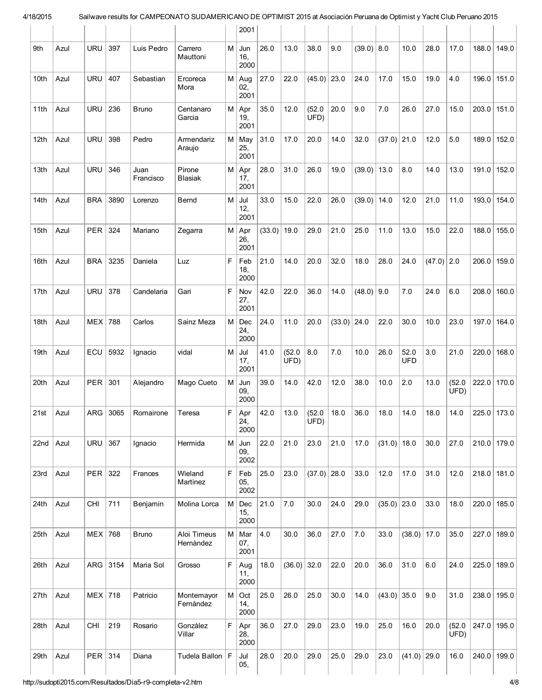|      |      |            |      |                   |                          |           | 2001                        |        |                |                |               |              |               |                    |              |                |               |       |
|------|------|------------|------|-------------------|--------------------------|-----------|-----------------------------|--------|----------------|----------------|---------------|--------------|---------------|--------------------|--------------|----------------|---------------|-------|
| 9th  | Azul | <b>URU</b> | 397  | Luis Pedro        | Carrero<br>Mauttoni      | $M \mid$  | Jun<br>16,<br>2000          | 26.0   | 13.0           | 38.0           | 9.0           | $(39.0)$ 8.0 |               | 10.0               | 28.0         | 17.0           | 188.0         | 149.0 |
| 10th | Azul | <b>URU</b> | 407  | Sebastian         | Ercoreca<br>Mora         |           | $M$ Aug<br>02,<br>2001      | 27.0   | 22.0           | (45.0)         | 23.0          | 24.0         | 17.0          | 15.0               | 19.0         | 4.0            | $196.0$ 151.0 |       |
| 11th | Azul | <b>URU</b> | 236  | <b>Bruno</b>      | Centanaro<br>Garcia      |           | $M  $ Apr<br>19,<br>2001    | 35.0   | 12.0           | (52.0)<br>UFD) | 20.0          | 9.0          | 7.0           | 26.0               | 27.0         | 15.0           | 203.0         | 151.0 |
| 12th | Azul | <b>URU</b> | 398  | Pedro             | Armendariz<br>Araujo     |           | M   May<br>25,<br>2001      | 31.0   | 17.0           | 20.0           | 14.0          | 32.0         | $(37.0)$ 21.0 |                    | 12.0         | 5.0            | 189.0         | 152.0 |
| 13th | Azul | <b>URU</b> | 346  | Juan<br>Francisco | Pirone<br><b>Blasiak</b> |           | $M  $ Apr<br>17,<br>2001    | 28.0   | 31.0           | 26.0           | 19.0          | (39.0)       | 13.0          | 8.0                | 14.0         | 13.0           | 191.0 152.0   |       |
| 14th | Azul | <b>BRA</b> | 3890 | Lorenzo           | Bernd                    | M         | Jul<br>12,<br>2001          | 33.0   | 15.0           | 22.0           | 26.0          | (39.0)       | 14.0          | 12.0               | 21.0         | 11.0           | 193.0 154.0   |       |
| 15th | Azul | <b>PER</b> | 324  | Mariano           | Zegarra                  | M         | Apr<br>26,<br>2001          | (33.0) | 19.0           | 29.0           | 21.0          | 25.0         | 11.0          | 13.0               | 15.0         | 22.0           | 188.0         | 155.0 |
| 16th | Azul | <b>BRA</b> | 3235 | Daniela           | Luz                      | F         | Feb<br>18,<br>2000          | 21.0   | 14.0           | 20.0           | 32.0          | 18.0         | 28.0          | 24.0               | $(47.0)$ 2.0 |                | 206.0         | 159.0 |
| 17th | Azul | <b>URU</b> | 378  | Candelaria        | Gari                     | F         | Nov<br>27,<br>2001          | 42.0   | 22.0           | 36.0           | 14.0          | $(48.0)$ 9.0 |               | 7.0                | 24.0         | 6.0            | 208.0 160.0   |       |
| 18th | Azul | <b>MEX</b> | 788  | Carlos            | Sainz Meza               | M         | Dec<br>24,<br>2000          | 24.0   | 11.0           | 20.0           | $(33.0)$ 24.0 |              | 22.0          | 30.0               | 10.0         | 23.0           | 197.0 164.0   |       |
| 19th | Azul | ECU        | 5932 | Ignacio           | vidal                    | M         | Jul<br>17,<br>2001          | 41.0   | (52.0)<br>UFD) | 8.0            | 7.0           | 10.0         | 26.0          | 52.0<br><b>UFD</b> | 3.0          | 21.0           | 220.0         | 168.0 |
| 20th | Azul | PER        | 301  | Alejandro         | Mago Cueto               | $M \mid$  | Jun<br>09,<br>2000          | 39.0   | 14.0           | 42.0           | 12.0          | 38.0         | 10.0          | 2.0                | 13.0         | (52.0)<br>UFD) | 222.0 170.0   |       |
| 21st | Azul | ARG        | 3065 | Romairone         | Teresa                   | F         | Apr<br>24,<br>2000          | 42.0   | 13.0           | (52.0)<br>ÙFD) | 18.0          | 36.0         | 18.0          | 14.0               | 18.0         | 14.0           | 225.0 173.0   |       |
| 22nd | Azul | <b>URU</b> | 367  | Ignacio           | Hermida                  |           | $M \mid$ Jun<br>09,<br>2002 | 22.0   | 21.0           | 23.0           | 21.0          | 17.0         | $(31.0)$ 18.0 |                    | 30.0         | 27.0           | $210.0$ 179.0 |       |
| 23rd | Azul | PER        | 322  | Frances           | Wieland<br>Martinez      | F         | Feb<br>05,<br>2002          | 25.0   | 23.0           | $(37.0)$ 28.0  |               | 33.0         | 12.0          | 17.0               | 31.0         | 12.0           | $218.0$ 181.0 |       |
| 24th | Azul | <b>CHI</b> | 711  | Benjamin          | Molina Lorca             | M         | Dec<br>15,<br>2000          | 21.0   | 7.0            | 30.0           | 24.0          | 29.0         | $(35.0)$ 23.0 |                    | 33.0         | 18.0           | $220.0$ 185.0 |       |
| 25th | Azul | MEX 768    |      | <b>Bruno</b>      | Aloi Timeus<br>Hernàndez |           | $M \mid$ Mar<br>07,<br>2001 | 4.0    | 30.0           | 36.0           | 27.0          | 7.0          | 33.0          | $(38.0)$ 17.0      |              | 35.0           | $227.0$ 189.0 |       |
| 26th | Azul | ARG        | 3154 | Maria Sol         | Grosso                   | F         | Aug<br>11,<br>2000          | 18.0   | (36.0)         | 32.0           | 22.0          | 20.0         | 36.0          | 31.0               | 6.0          | 24.0           | 225.0         | 189.0 |
| 27th | Azul | $MEX$ 718  |      | Patricio          | Montemayor<br>Fernàndez  | $M \vert$ | Oct<br>14,<br>2000          | 25.0   | 26.0           | 25.0           | 30.0          | 14.0         | $(43.0)$ 35.0 |                    | 9.0          | 31.0           | $238.0$ 195.0 |       |
| 28th | Azul | <b>CHI</b> | 219  | Rosario           | Gonzàlez<br>Villar       | F         | Apr<br>28,<br>2000          | 36.0   | 27.0           | 29.0           | 23.0          | 19.0         | 25.0          | 16.0               | 20.0         | (52.0)<br>UFD) | 247.0 195.0   |       |
| 29th | Azul | PER        | 314  | Diana             | Tudela Ballon   F        |           | Jul<br>05,                  | 28.0   | 20.0           | 29.0           | 25.0          | 29.0         | 23.0          | $(41.0)$ 29.0      |              | 16.0           | $240.0$ 199.0 |       |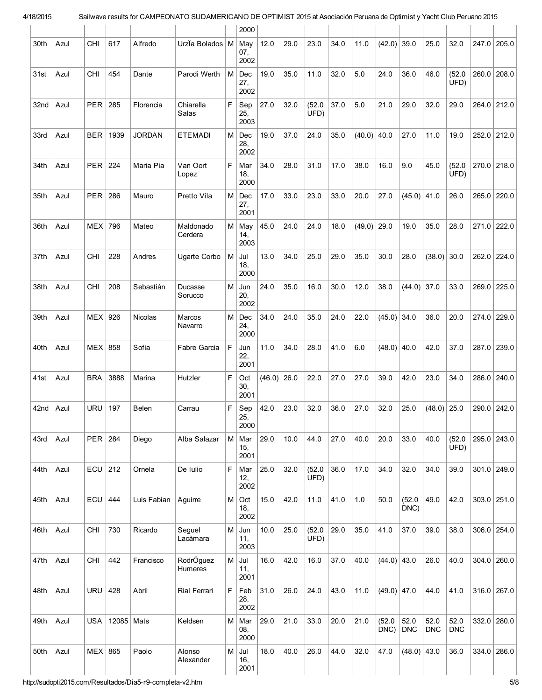|      |      |            |            |               |                      |             | 2000                                       |        |      |                |      |               |                |                    |                    |                    |       |             |
|------|------|------------|------------|---------------|----------------------|-------------|--------------------------------------------|--------|------|----------------|------|---------------|----------------|--------------------|--------------------|--------------------|-------|-------------|
| 30th | Azul | <b>CHI</b> | 617        | Alfredo       | Urzia Bolados   M    |             | May<br>07,<br>2002                         | 12.0   | 29.0 | 23.0           | 34.0 | 11.0          | (42.0)         | 39.0               | 25.0               | 32.0               | 247.0 | 205.0       |
| 31st | Azul | <b>CHI</b> | 454        | Dante         | Parodi Werth         | М           | Dec<br>27,<br>2002                         | 19.0   | 35.0 | 11.0           | 32.0 | 5.0           | 24.0           | 36.0               | 46.0               | (52.0)<br>UFD)     | 260.0 | 208.0       |
| 32nd | Azul | <b>PER</b> | 285        | Florencia     | Chiarella<br>Salas   | F.          | Sep<br>25,<br>2003                         | 27.0   | 32.0 | (52.0)<br>UFD) | 37.0 | 5.0           | 21.0           | 29.0               | 32.0               | 29.0               | 264.0 | 212.0       |
| 33rd | Azul | <b>BER</b> | 1939       | <b>JORDAN</b> | <b>ETEMADI</b>       | М           | Dec<br>28,<br>2002                         | 19.0   | 37.0 | 24.0           | 35.0 | (40.0)        | 40.0           | 27.0               | 11.0               | 19.0               |       | 252.0 212.0 |
| 34th | Azul | <b>PER</b> | 224        | Maria Pia     | Van Oort<br>Lopez    | F           | Mar<br>18,<br>2000                         | 34.0   | 28.0 | 31.0           | 17.0 | 38.0          | 16.0           | 9.0                | 45.0               | (52.0)<br>UFD)     | 270.0 | 218.0       |
| 35th | Azul | PER        | 286        | Mauro         | Pretto Vila          | M I         | $\mathop{\sf Dec}\nolimits$<br>27,<br>2001 | 17.0   | 33.0 | 23.0           | 33.0 | 20.0          | 27.0           | (45.0)             | 41.0               | 26.0               | 265.0 | 220.0       |
| 36th | Azul | <b>MEX</b> | 796        | Mateo         | Maldonado<br>Cerdera | $M \mid$    | May<br>14,<br>2003                         | 45.0   | 24.0 | 24.0           | 18.0 | $(49.0)$ 29.0 |                | 19.0               | 35.0               | 28.0               | 271.0 | 222.0       |
| 37th | Azul | <b>CHI</b> | 228        | Andres        | Ugarte Corbo         | М           | Jul<br>18,<br>2000                         | 13.0   | 34.0 | 25.0           | 29.0 | 35.0          | 30.0           | 28.0               | (38.0)             | 30.0               | 262.0 | 224.0       |
| 38th | Azul | <b>CHI</b> | 208        | Sebastiàn     | Ducasse<br>Sorucco   | М           | Jun<br>20,<br>2002                         | 24.0   | 35.0 | 16.0           | 30.0 | 12.0          | 38.0           | (44.0)             | 37.0               | 33.0               | 269.0 | 225.0       |
| 39th | Azul | <b>MEX</b> | 926        | Nicolas       | Marcos<br>Navarro    | $M \mid$    | Dec<br>24,<br>2000                         | 34.0   | 24.0 | 35.0           | 24.0 | 22.0          | (45.0)         | 34.0               | 36.0               | 20.0               | 274.0 | 229.0       |
| 40th | Azul | MEX        | 858        | Sofia         | Fabre Garcia         | F           | Jun<br>22,<br>2001                         | 11.0   | 34.0 | 28.0           | 41.0 | 6.0           | $(48.0)$ 40.0  |                    | 42.0               | 37.0               |       | 287.0 239.0 |
| 41st | Azul | <b>BRA</b> | 3888       | Marina        | Hutzler              | F           | Oct<br>30,<br>2001                         | (46.0) | 26.0 | 22.0           | 27.0 | 27.0          | 39.0           | 42.0               | 23.0               | 34.0               | 286.0 | 240.0       |
| 42nd | Azul | <b>URU</b> | 197        | Belen         | Carrau               | F           | Sep<br>25,<br>2000                         | 42.0   | 23.0 | 32.0           | 36.0 | 27.0          | 32.0           | 25.0               | (48.0)             | 25.0               | 290.0 | 242.0       |
| 43rd | Azul | <b>PER</b> | 284        | Diego         | Alba Salazar         | $M \vert$   | Mar<br>15,<br>2001                         | 29.0   | 10.0 | 44.0           | 27.0 | 40.0          | 20.0           | 33.0               | 40.0               | (52.0)<br>UFD)     | 295.0 | 243.0       |
| 44th | Azul | ECU        | 212        | Ornela        | De Iulio             | $\mathsf F$ | Mar<br>12,<br>2002                         | 25.0   | 32.0 | (52.0)<br>UFD) | 36.0 | 17.0          | 34.0           | 32.0               | 34.0               | 39.0               | 301.0 | 249.0       |
| 45th | Azul | ECU        | 444        | Luis Fabian   | Aquirre              | M           | Oct<br>18,<br>2002                         | 15.0   | 42.0 | 11.0           | 41.0 | 1.0           | 50.0           | (52.0)<br>DNC)     | 49.0               | 42.0               | 303.0 | 251.0       |
| 46th | Azul | <b>CHI</b> | 730        | Ricardo       | Seguel<br>Lacàmara   | $M \mid$    | Jun<br>11,<br>2003                         | 10.0   | 25.0 | (52.0)<br>UFD) | 29.0 | 35.0          | 41.0           | 37.0               | 39.0               | 38.0               | 306.0 | 254.0       |
| 47th | Azul | <b>CHI</b> | 442        | Francisco     | RodrÕguez<br>Humeres | $M \vert$   | Jul<br>11,<br>2001                         | 16.0   | 42.0 | 16.0           | 37.0 | 40.0          | $(44.0)$ 43.0  |                    | 26.0               | 40.0               | 304.0 | 260.0       |
| 48th | Azul | <b>URU</b> | 428        | Abril         | Rial Ferrari         | $\mathsf F$ | Feb<br>28,<br>2002                         | 31.0   | 26.0 | 24.0           | 43.0 | 11.0          | $(49.0)$ 47.0  |                    | 44.0               | 41.0               | 316.0 | 267.0       |
| 49th | Azul | <b>USA</b> | 12085 Mats |               | Keldsen              | $M \mid$    | Mar<br>08,<br>2000                         | 29.0   | 21.0 | 33.0           | 20.0 | 21.0          | (52.0)<br>DNC) | 52.0<br><b>DNC</b> | 52.0<br><b>DNC</b> | 52.0<br><b>DNC</b> | 332.0 | 280.0       |
| 50th | Azul | <b>MEX</b> | 865        | Paolo         | Alonso<br>Alexander  | $M \mid$    | Jul<br>16,<br>2001                         | 18.0   | 40.0 | 26.0           | 44.0 | 32.0          | 47.0           | $(48.0)$ 43.0      |                    | 36.0               | 334.0 | 286.0       |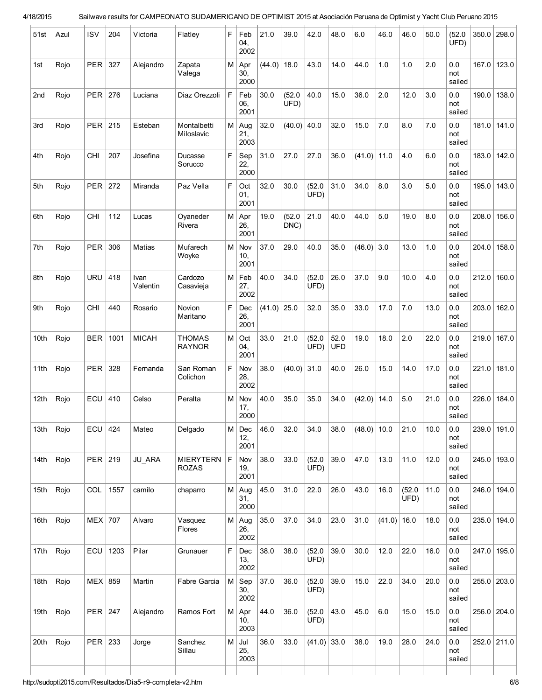| 51st | Azul | ISV              | 204  | Victoria         | Flatley                          | F        | Feb<br>04,<br>2002 | 21.0   | 39.0           | 42.0           | 48.0               | 6.0          | 46.0   | 46.0           | 50.0 | (52.0)<br>UFD)       | 350.0 | 298.0       |
|------|------|------------------|------|------------------|----------------------------------|----------|--------------------|--------|----------------|----------------|--------------------|--------------|--------|----------------|------|----------------------|-------|-------------|
| 1st  | Rojo | <b>PER</b>       | 327  | Alejandro        | Zapata<br>Valega                 | $M \mid$ | Apr<br>30,<br>2000 | (44.0) | 18.0           | 43.0           | 14.0               | 44.0         | 1.0    | 1.0            | 2.0  | 0.0<br>not<br>sailed | 167.0 | 123.0       |
| 2nd  | Rojo | <b>PER</b>       | 276  | Luciana          | Diaz Orezzoli                    | F        | Feb<br>06,<br>2001 | 30.0   | (52.0)<br>UFD) | 40.0           | 15.0               | 36.0         | 2.0    | 12.0           | 3.0  | 0.0<br>not<br>sailed | 190.0 | 138.0       |
| 3rd  | Rojo | <b>PER</b>       | 215  | Esteban          | Montalbetti<br>Miloslavic        | M        | Aug<br>21,<br>2003 | 32.0   | $(40.0)$ 40.0  |                | 32.0               | 15.0         | 7.0    | 8.0            | 7.0  | 0.0<br>not<br>sailed | 181.0 | 141.0       |
| 4th  | Rojo | <b>CHI</b>       | 207  | Josefina         | Ducasse<br>Sorucco               | F        | Sep<br>22,<br>2000 | 31.0   | 27.0           | 27.0           | 36.0               | (41.0)       | 11.0   | 4.0            | 6.0  | 0.0<br>not<br>sailed | 183.0 | 142.0       |
| 5th  | Rojo | <b>PER</b>       | 272  | Miranda          | Paz Vella                        | F        | Oct<br>01,<br>2001 | 32.0   | 30.0           | (52.0)<br>UFD) | 31.0               | 34.0         | 8.0    | 3.0            | 5.0  | 0.0<br>not<br>sailed | 195.0 | 143.0       |
| 6th  | Rojo | <b>CHI</b>       | 112  | Lucas            | Oyaneder<br>Rivera               | $M \mid$ | Apr<br>26,<br>2001 | 19.0   | (52.0)<br>DNC) | 21.0           | 40.0               | 44.0         | 5.0    | 19.0           | 8.0  | 0.0<br>not<br>sailed | 208.0 | 156.0       |
| 7th  | Rojo | <b>PER</b>       | 306  | Matias           | Mufarech<br>Woyke                | $M \mid$ | Nov<br>10,<br>2001 | 37.0   | 29.0           | 40.0           | 35.0               | $(46.0)$ 3.0 |        | 13.0           | 1.0  | 0.0<br>not<br>sailed | 204.0 | 158.0       |
| 8th  | Rojo | <b>URU</b>       | 418  | Ivan<br>Valentin | Cardozo<br>Casavieja             | M        | Feb<br>27,<br>2002 | 40.0   | 34.0           | (52.0)<br>UFD) | 26.0               | 37.0         | 9.0    | 10.0           | 4.0  | 0.0<br>not<br>sailed | 212.0 | 160.0       |
| 9th  | Rojo | <b>CHI</b>       | 440  | Rosario          | Novion<br>Maritano               | F        | Dec<br>26,<br>2001 | (41.0) | 25.0           | 32.0           | 35.0               | 33.0         | 17.0   | 7.0            | 13.0 | 0.0<br>not<br>sailed | 203.0 | 162.0       |
| 10th | Rojo | <b>BER</b>       | 1001 | <b>MICAH</b>     | <b>THOMAS</b><br><b>RAYNOR</b>   | M        | Oct<br>04,<br>2001 | 33.0   | 21.0           | (52.0)<br>UFD) | 52.0<br><b>UFD</b> | 19.0         | 18.0   | 2.0            | 22.0 | 0.0<br>not<br>sailed | 219.0 | 167.0       |
| 11th | Rojo | <b>PER</b>       | 328  | Fernanda         | San Roman<br>Colichon            | F        | Nov<br>28,<br>2002 | 38.0   | (40.0)         | 31.0           | 40.0               | 26.0         | 15.0   | 14.0           | 17.0 | 0.0<br>not<br>sailed | 221.0 | 181.0       |
| 12th | Rojo | ECU              | 410  | Celso            | Peralta                          | м        | Nov<br>17,<br>2000 | 40.0   | 35.0           | 35.0           | 34.0               | (42.0)       | 14.0   | 5.0            | 21.0 | 0.0<br>not<br>sailed | 226.0 | 184.0       |
| 13th | Rojo | ECU              | 424  | Mateo            | Delgado                          | $M \mid$ | Dec<br>12,<br>2001 | 46.0   | 32.0           | 34.0           | 38.0               | (48.0)       | 10.0   | 21.0           | 10.0 | 0.0<br>not<br>sailed | 239.0 | 191.0       |
| 14th | Rojo | PER $ 219$       |      | JU_ARA           | <b>MIERYTERN</b><br><b>ROZAS</b> | F        | Nov<br>19,<br>2001 | 38.0   | 33.0           | (52.0)<br>UFD) | 39.0               | 47.0         | 13.0   | 11.0           | 12.0 | 0.0<br>not<br>sailed | 245.0 | 193.0       |
| 15th | Rojo | COL              | 1557 | camilo           | chaparro                         | $M \mid$ | Aug<br>31,<br>2000 | 45.0   | 31.0           | 22.0           | 26.0               | 43.0         | 16.0   | (52.0)<br>UFD) | 11.0 | 0.0<br>not<br>sailed | 246.0 | 194.0       |
| 16th | Rojo | MEX <sup> </sup> | 707  | Alvaro           | Vasquez<br><b>Flores</b>         | $M \mid$ | Aug<br>26,<br>2002 | 35.0   | 37.0           | 34.0           | 23.0               | 31.0         | (41.0) | 16.0           | 18.0 | 0.0<br>not<br>sailed | 235.0 | 194.0       |
| 17th | Rojo | ECU              | 1203 | Pilar            | Grunauer                         | F        | Dec<br>13,<br>2002 | 38.0   | 38.0           | (52.0)<br>UFD) | 39.0               | 30.0         | 12.0   | 22.0           | 16.0 | 0.0<br>not<br>sailed | 247.0 | 195.0       |
| 18th | Rojo | MEX   859        |      | Martin           | Fabre Garcia                     | M        | Sep<br>30,<br>2002 | 37.0   | 36.0           | (52.0)<br>UFD  | 39.0               | 15.0         | 22.0   | 34.0           | 20.0 | 0.0<br>not<br>sailed |       | 255.0 203.0 |
| 19th | Rojo | <b>PER 247</b>   |      | Alejandro        | Ramos Fort                       | $M \mid$ | Apr<br>10,<br>2003 | 44.0   | 36.0           | (52.0)<br>UFD) | 43.0               | 45.0         | 6.0    | 15.0           | 15.0 | 0.0<br>not<br>sailed | 256.0 | 204.0       |
| 20th | Rojo | PER $ 233$       |      | Jorge            | Sanchez<br>Sillau                | $M \mid$ | Jul<br>25,<br>2003 | 36.0   | 33.0           | $(41.0)$ 33.0  |                    | 38.0         | 19.0   | 28.0           | 24.0 | 0.0<br>not<br>sailed | 252.0 | 211.0       |
|      |      |                  |      |                  |                                  |          |                    |        |                |                |                    |              |        |                |      |                      |       |             |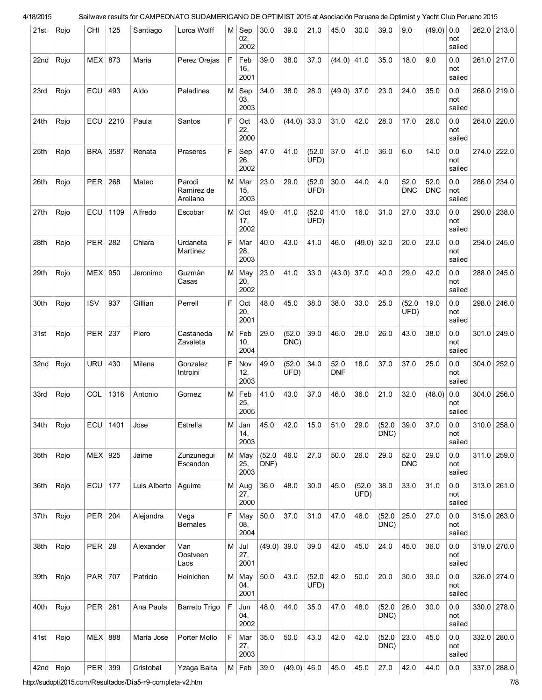| 21st | Rojo | <b>CHI</b>       | 125  | Santiago     | Lorca Wolff                      | M           | Sep<br>02,<br>2002 | 30.0           | 39.0           | 21.0           | 45.0               | 30.0           | 39.0           | 9.0                | (49.0)             | 0.0<br>not<br>sailed     | 262.0 213.0   |
|------|------|------------------|------|--------------|----------------------------------|-------------|--------------------|----------------|----------------|----------------|--------------------|----------------|----------------|--------------------|--------------------|--------------------------|---------------|
| 22nd | Rojo | MEX <sup>1</sup> | 873  | Maria        | Perez Orejas                     | F.          | Feb<br>16,<br>2001 | 39.0           | 38.0           | 37.0           | $(44.0)$ 41.0      |                | 35.0           | 18.0               | 9.0                | 0.0<br>not<br>sailed     | 261.0 217.0   |
| 23rd | Rojo | ECU              | 493  | Aldo         | Paladines                        | М           | Sep<br>03,<br>2003 | 34.0           | 38.0           | 28.0           | $(49.0)$ 37.0      |                | 23.0           | 24.0               | 35.0               | 0.0<br>not<br>sailed     | 268.0 219.0   |
| 24th | Rojo | ECU              | 2210 | Paula        | Santos                           | F           | Oct<br>22,<br>2000 | 43.0           | $(44.0)$ 33.0  |                | 31.0               | 42.0           | 28.0           | 17.0               | 26.0               | 0.0<br>not<br>sailed     | 264.0 220.0   |
| 25th | Rojo | <b>BRA</b>       | 3587 | Renata       | Praseres                         | F           | Sep<br>26,<br>2002 | 47.0           | 41.0           | (52.0)<br>UFD) | 37.0               | 41.0           | 36.0           | 6.0                | 14.0               | 0.0<br>not<br>sailed     | $274.0$ 222.0 |
| 26th | Rojo | <b>PER</b>       | 268  | Mateo        | Parodi<br>Ramirez de<br>Arellano | M           | Mar<br>15,<br>2003 | 23.0           | 29.0           | (52.0)<br>UFD) | 30.0               | 44.0           | 4.0            | 52.0<br><b>DNC</b> | 52.0<br><b>DNC</b> | 0.0<br>not<br>sailed     | 286.0 234.0   |
| 27th | Rojo | ECU              | 1109 | Alfredo      | Escobar                          | M           | Oct<br>17,<br>2002 | 49.0           | 41.0           | (52.0)<br>UFD  | 41.0               | 16.0           | 31.0           | 27.0               | 33.0               | 0.0<br>not<br>sailed     | $290.0$ 238.0 |
| 28th | Rojo | PER              | 282  | Chiara       | Urdaneta<br>Martinez             | $\mathsf F$ | Mar<br>28,<br>2003 | 40.0           | 43.0           | 41.0           | 46.0               | (49.0)         | 32.0           | 20.0               | 23.0               | 0.0<br>not<br>sailed     | 294.0 245.0   |
| 29th | Rojo | MEX              | 950  | Jeronimo     | Guzmàn<br>Casas                  | M           | May<br>20,<br>2002 | 23.0           | 41.0           | 33.0           | $(43.0)$ 37.0      |                | 40.0           | 29.0               | 42.0               | 0.0<br>not<br>sailed     | 288.0 245.0   |
| 30th | Rojo | <b>ISV</b>       | 937  | Gillian      | Perrell                          | F.          | Oct<br>20,<br>2001 | 48.0           | 45.0           | 38.0           | 38.0               | 33.0           | 25.0           | (52.0)<br>UFD)     | 19.0               | 0.0<br>not<br>sailed     | 298.0 246.0   |
| 31st | Rojo | PER 237          |      | Piero        | Castaneda<br>Zavaleta            | M           | Feb<br>10,<br>2004 | 29.0           | (52.0)<br>DNC) | 39.0           | 46.0               | 28.0           | 26.0           | 43.0               | 38.0               | $0.0\,$<br>not<br>sailed | $301.0$ 249.0 |
| 32nd | Rojo | <b>URU</b>       | 430  | Milena       | Gonzalez<br>Introini             | F           | Nov<br>12,<br>2003 | 49.0           | (52.0)<br>UFD) | 34.0           | 52.0<br><b>DNF</b> | 18.0           | 37.0           | 37.0               | 25.0               | $0.0\,$<br>not<br>sailed | $304.0$ 252.0 |
| 33rd | Rojo | COL              | 1316 | Antonio      | Gomez                            | M           | Feb<br>25,<br>2005 | 41.0           | 43.0           | 37.0           | 46.0               | 36.0           | 21.0           | 32.0               | (48.0)             | $0.0\,$<br>not<br>sailed | $304.0$ 256.0 |
| 34th | Rojo | ECU              | 1401 | Jose         | Estrella                         | М           | Jan<br>14,<br>2003 | 45.0           | 42.0           | 15.0           | 51.0               | 29.0           | (52.0)<br>DNC) | 39.0               | 37.0               | 0.0<br>not<br>sailed     | $310.0$ 258.0 |
| 35th | Rojo | $MEX$ 925        |      | Jaime        | Zunzunegui<br>Escandon           | $M \mid$    | May<br>25,<br>2003 | (52.0)<br>DNF) | 46.0           | 27.0           | 50.0               | 26.0           | 29.0           | 52.0<br><b>DNC</b> | 29.0               | 0.0<br>not<br>sailed     | $311.0$ 259.0 |
| 36th | Rojo | ECU              | 177  | Luis Alberto | Aguirre                          | М           | Aug<br>27,<br>2000 | 36.0           | 48.0           | 30.0           | 45.0               | (52.0)<br>UFD) | 38.0           | 33.0               | 31.0               | 0.0<br>not<br>sailed     | 313.0   261.0 |
| 37th | Rojo | PER              | 204  | Alejandra    | Vega<br><b>Bernales</b>          | F.          | May<br>08,<br>2004 | 50.0           | 37.0           | 31.0           | 47.0               | 46.0           | (52.0)<br>DNC) | 25.0               | 27.0               | 0.0<br>not<br>sailed     | $315.0$ 263.0 |
| 38th | Rojo | $PER$   28       |      | Alexander    | Van<br>Oostveen<br>Laos          | М           | Jul<br>27,<br>2001 | $(49.0)$ 39.0  |                | 39.0           | 42.0               | 45.0           | 24.0           | 45.0               | 36.0               | 0.0<br>not<br>sailed     | $319.0$ 270.0 |
| 39th | Rojo | PAR   707        |      | Patricio     | Heinichen                        | M           | May<br>04,<br>2001 | 50.0           | 43.0           | (52.0)<br>UFD) | 42.0               | 50.0           | 20.0           | 30.0               | 39.0               | 0.0<br>not<br>sailed     | 326.0 274.0   |
| 40th | Rojo | PER              | 281  | Ana Paula    | Barreto Trigo                    | F           | Jun<br>04,<br>2002 | 48.0           | 44.0           | 35.0           | 47.0               | 48.0           | (52.0)<br>DNC) | 26.0               | 30.0               | 0.0<br>not<br>sailed     | 330.0 278.0   |
| 41st | Rojo | MEX 888          |      | Maria Jose   | Porter Mollo                     | F           | Mar<br>27,<br>2003 | 35.0           | 50.0           | 43.0           | 42.0               | 42.0           | (52.0)<br>DNC) | 23.0               | 45.0               | 0.0<br>not<br>sailed     | 332.0 280.0   |
| 42nd | Rojo | PER              | 399  | Cristobal    | Yzaga Balta                      | $M \mid$    | Feb                | 39.0           | $(49.0)$ 46.0  |                | 45.0               | 45.0           | 27.0           | 42.0               | 44.0               | 0.0                      | 337.0 288.0   |